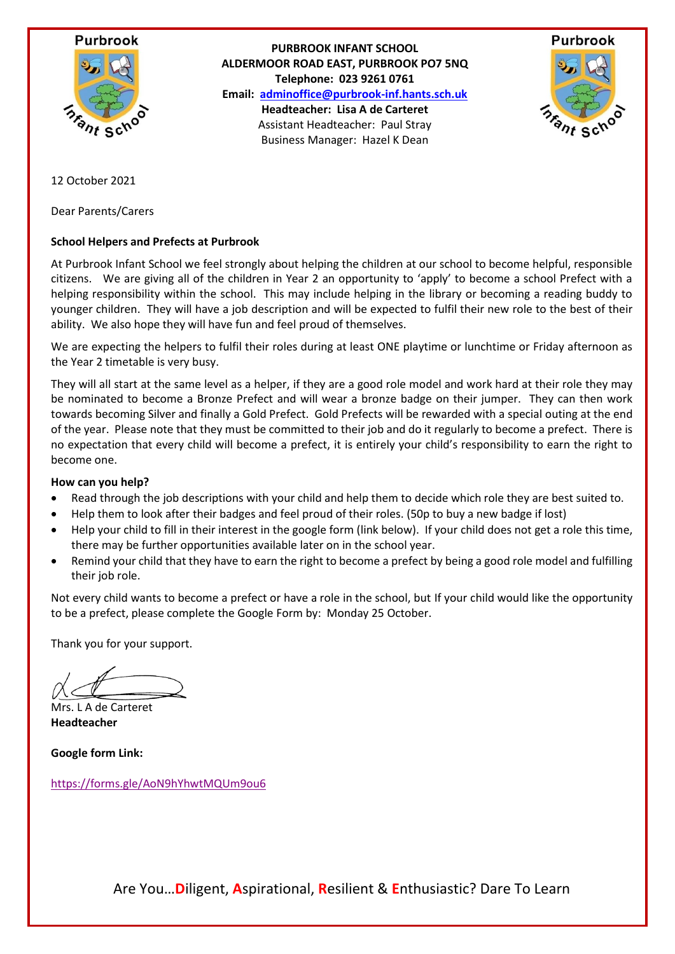

**PURBROOK INFANT SCHOOL ALDERMOOR ROAD EAST, PURBROOK PO7 5NQ Telephone: 023 9261 0761 Email: [adminoffice@purbrook-inf.hants.sch.uk](mailto:adminoffice@purbrook-inf.hants.sch.uk) Headteacher: Lisa A de Carteret** Assistant Headteacher: Paul Stray Business Manager: Hazel K Dean



12 October 2021

Dear Parents/Carers

#### **School Helpers and Prefects at Purbrook**

At Purbrook Infant School we feel strongly about helping the children at our school to become helpful, responsible citizens. We are giving all of the children in Year 2 an opportunity to 'apply' to become a school Prefect with a helping responsibility within the school. This may include helping in the library or becoming a reading buddy to younger children. They will have a job description and will be expected to fulfil their new role to the best of their ability. We also hope they will have fun and feel proud of themselves.

We are expecting the helpers to fulfil their roles during at least ONE playtime or lunchtime or Friday afternoon as the Year 2 timetable is very busy.

They will all start at the same level as a helper, if they are a good role model and work hard at their role they may be nominated to become a Bronze Prefect and will wear a bronze badge on their jumper. They can then work towards becoming Silver and finally a Gold Prefect. Gold Prefects will be rewarded with a special outing at the end of the year. Please note that they must be committed to their job and do it regularly to become a prefect. There is no expectation that every child will become a prefect, it is entirely your child's responsibility to earn the right to become one.

#### **How can you help?**

- Read through the job descriptions with your child and help them to decide which role they are best suited to.
- Help them to look after their badges and feel proud of their roles. (50p to buy a new badge if lost)
- Help your child to fill in their interest in the google form (link below). If your child does not get a role this time, there may be further opportunities available later on in the school year.
- Remind your child that they have to earn the right to become a prefect by being a good role model and fulfilling their job role.

Not every child wants to become a prefect or have a role in the school, but If your child would like the opportunity to be a prefect, please complete the Google Form by: Monday 25 October.

Thank you for your support.

Mrs. L A de Carteret **Headteacher**

**Google form Link:**

<https://forms.gle/AoN9hYhwtMQUm9ou6>

Are You…**D**iligent, **A**spirational, **R**esilient & **E**nthusiastic? Dare To Learn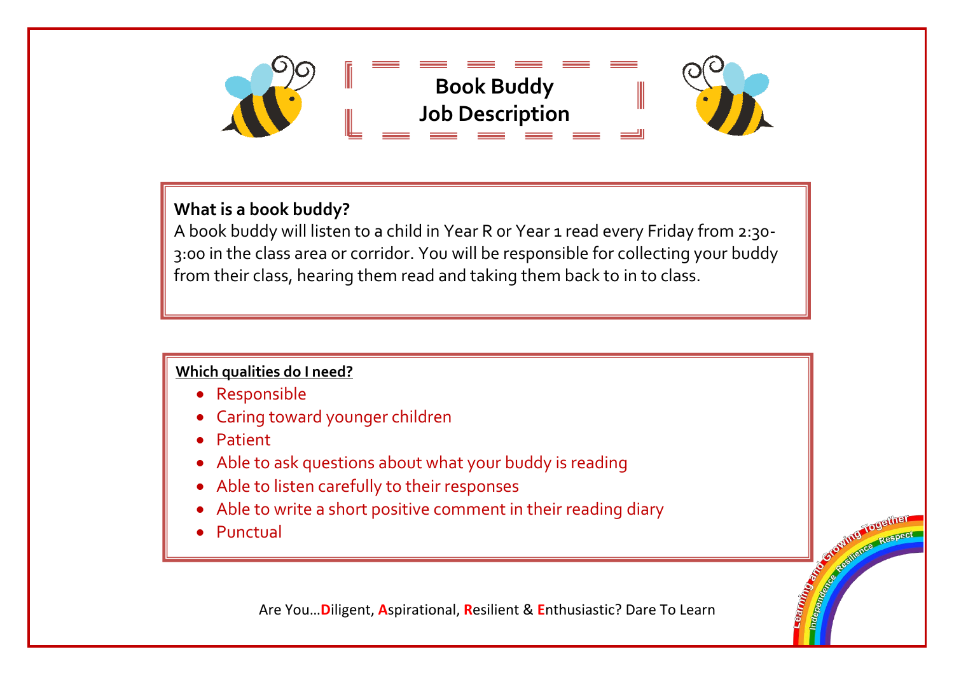

# **What is a book buddy?**

A book buddy will listen to a child in Year R 0r Year 1 read every Friday from 2:30- 3:00 in the class area or corridor. You will be responsible for collecting your buddy from their class, hearing them read and taking them back to in to class.

### **Which qualities do I need?**

- Responsible
- Caring toward younger children
- Patient
- Able to ask questions about what your buddy is reading
- Able to listen carefully to their responses
- Able to write a short positive comment in their reading diary
- Punctual

Are You…**D**iligent, **A**spirational, **R**esilient & **E**nthusiastic? Dare To Learn

**CONSTRUCTION OF RESPECT CONTROL CONSTRUCTION CONSTRUCTION CONSTRUCTION CONSTRUCTION CONSTRUCTION CONSTRUCTION CONSTRUCTION CONSTRUCTION**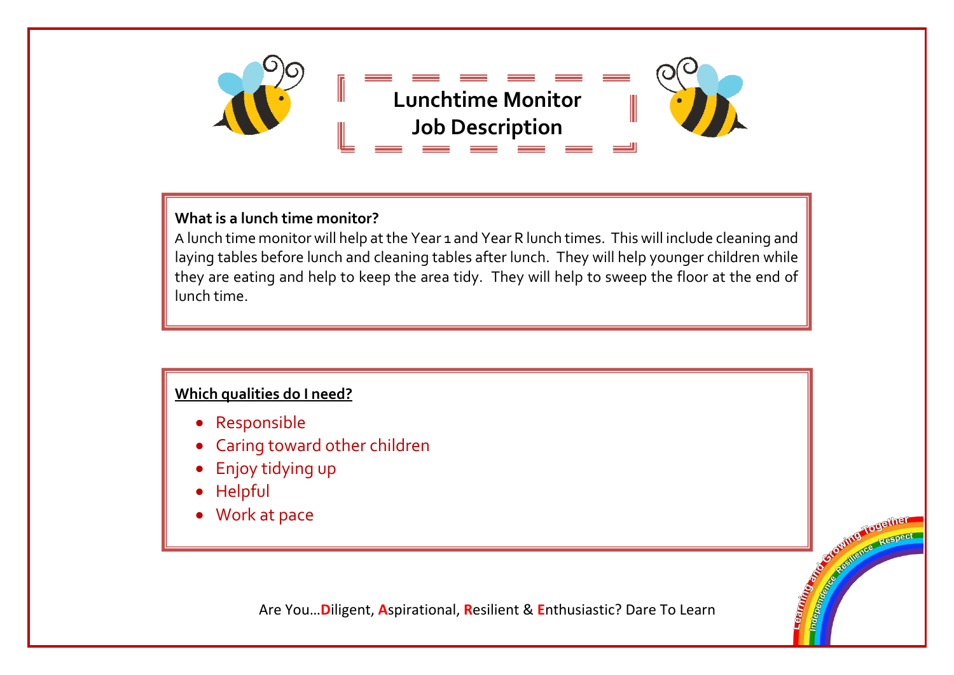

# **What is a lunch time monitor?**

A lunch time monitor will help at the Year 1 and Year R lunch times. This will include cleaning and laying tables before lunch and cleaning tables after lunch. They will help younger children while they are eating and help to keep the area tidy. They will help to sweep the floor at the end of lunch time.

# **Which qualities do I need?**

- Responsible
- Caring toward other children
- Enjoy tidying up
- Helpful
- Work at pace

Are You…**D**iligent, **A**spirational, **R**esilient & **E**nthusiastic? Dare To Learn

**CONTROL TOUGHIEF COLLEGE AND TOUGHTER**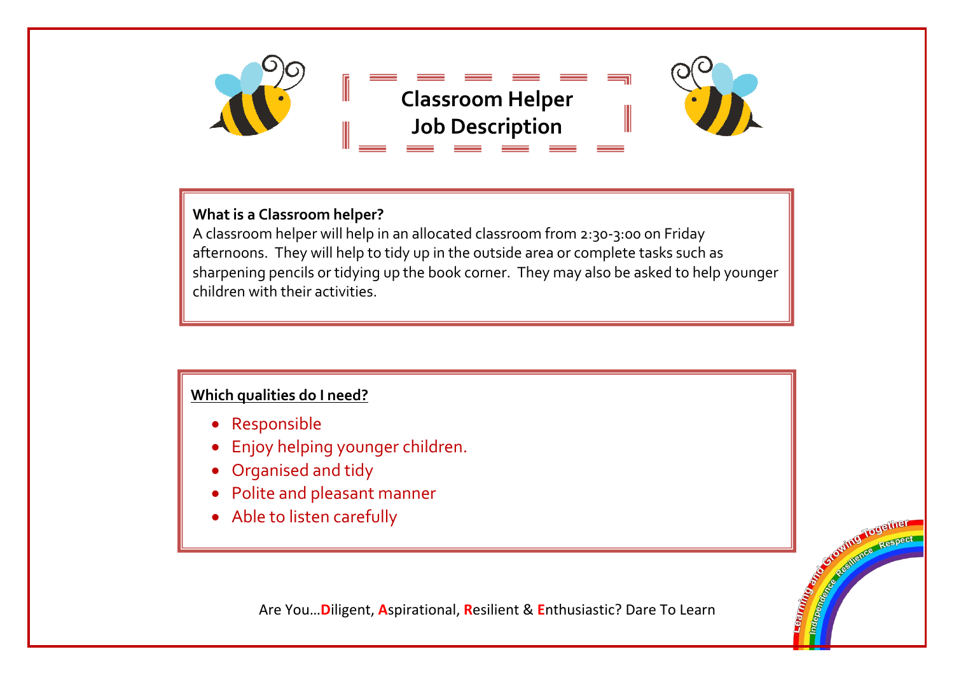

### **What is a Classroom helper?**

A classroom helper will help in an allocated classroom from 2:30-3:00 on Friday afternoons. They will help to tidy up in the outside area or complete tasks such as sharpening pencils or tidying up the book corner. They may also be asked to help younger children with their activities.

# **Which qualities do I need?**

- Responsible
- Enjoy helping younger children.
- Organised and tidy
- Polite and pleasant manner
- Able to listen carefully

Are You…**D**iligent, **A**spirational, **R**esilient & **E**nthusiastic? Dare To Learn

**Control Control Control Control Control Control Control Control Control Control Control Control Control Control Control Control Control Control Control Control Control Control Control Control Control Control Control Contr COMPAGNISHED RESPECT**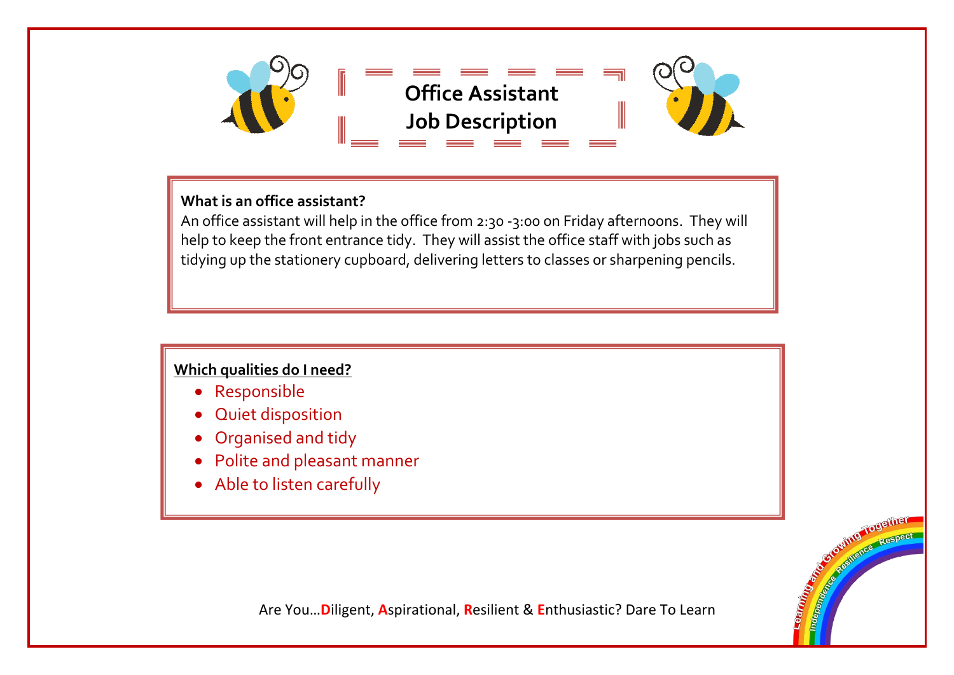

### **What is an office assistant?**

An office assistant will help in the office from 2:30 -3:00 on Friday afternoons. They will help to keep the front entrance tidy. They will assist the office staff with jobs such as tidying up the stationery cupboard, delivering letters to classes or sharpening pencils.

### **Which qualities do I need?**

- Responsible
- Quiet disposition
- Organised and tidy
- Polite and pleasant manner
- Able to listen carefully

Are You…**D**iligent, **A**spirational, **R**esilient & **E**nthusiastic? Dare To Learn

**CONSTRUCTION OF RESPECT COLLEGE AND COLLEGE TO BE TREATED**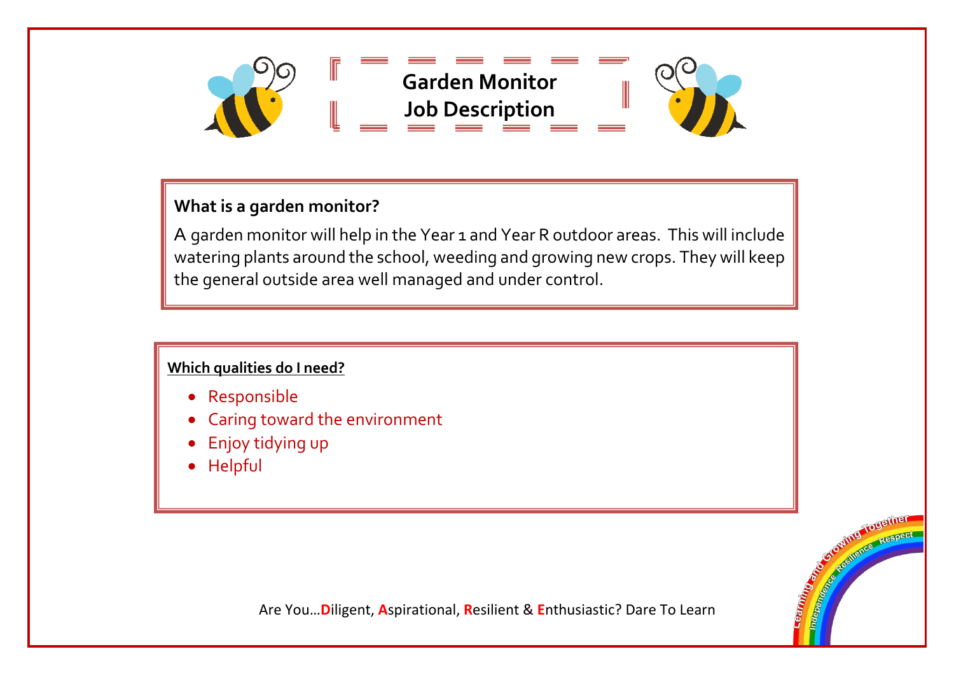

# **What is a garden monitor?**

A garden monitor will help in the Year 1 and Year R outdoor areas. This will include watering plants around the school, weeding and growing new crops. They will keep the general outside area well managed and under control.

# **Which qualities do I need?**

- Responsible
- Caring toward the environment
- Enjoy tidying up
- Helpful

Are You…**D**iligent, **A**spirational, **R**esilient & **E**nthusiastic? Dare To Learn

**CONTRACTOR SEPTEMBER 1999 POSTER COLLEGE AND COLLEGE TO BE THE CALL AND TO DETAILER**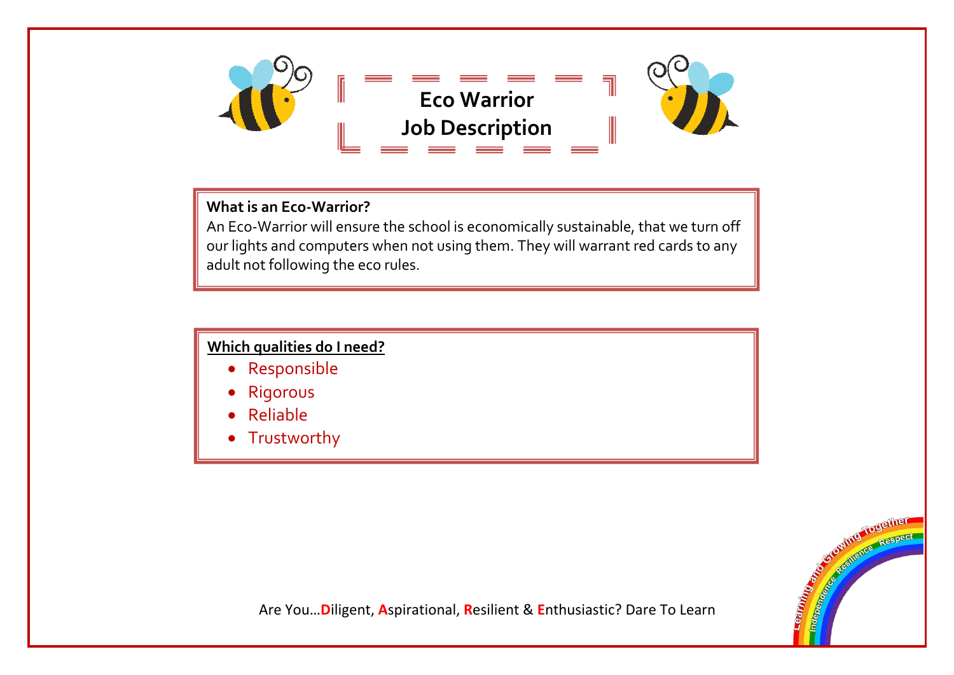

# **What is an Eco-Warrior?**

An Eco-Warrior will ensure the school is economically sustainable, that we turn off our lights and computers when not using them. They will warrant red cards to any adult not following the eco rules.

### **Which qualities do I need?**

- Responsible
- Rigorous
- Reliable
- Trustworthy



Are You…**D**iligent, **A**spirational, **R**esilient & **E**nthusiastic? Dare To Learn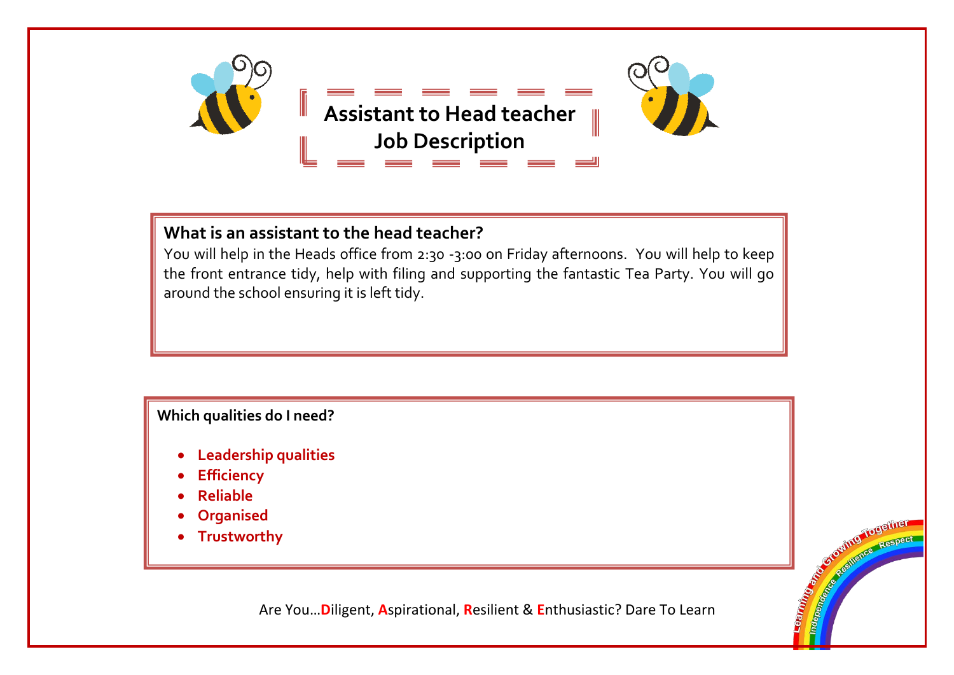

# **What is an assistant to the head teacher?**

You will help in the Heads office from 2:30 -3:00 on Friday afternoons. You will help to keep the front entrance tidy, help with filing and supporting the fantastic Tea Party. You will go around the school ensuring it is left tidy.

### **Which qualities do I need?**

- **Leadership qualities**
- **Efficiency**
- **Reliable**
- **Organised**
- **Trustworthy**

Are You…**D**iligent, **A**spirational, **R**esilient & **E**nthusiastic? Dare To Learn

**Control Together COLLEGE AND TOUGHTER**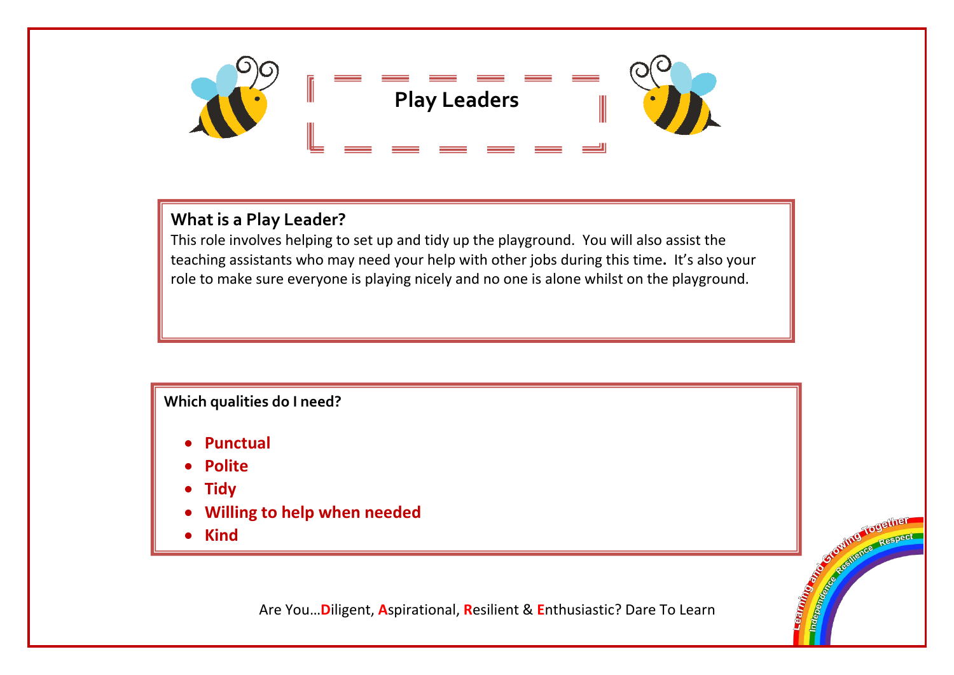

# **What is a Play Leader?**

This role involves helping to set up and tidy up the playground. You will also assist the teaching assistants who may need your help with other jobs during this time**.** It's also your role to make sure everyone is playing nicely and no one is alone whilst on the playground.

# **Which qualities do I need?**

- **Punctual**
- **Polite**
- **Tidy**
- **Willing to help when needed**
- **Kind**

Are You…**D**iligent, **A**spirational, **R**esilient & **E**nthusiastic? Dare To Learn

**CONSTRUCTION OF RESPECT COMMUNITER Respect For Department of the Respect For Department of the Respect Formation of the Respect Formation of the Respect Formation of the Respect Formation of the Respect Formation of the Respect Formation of the**